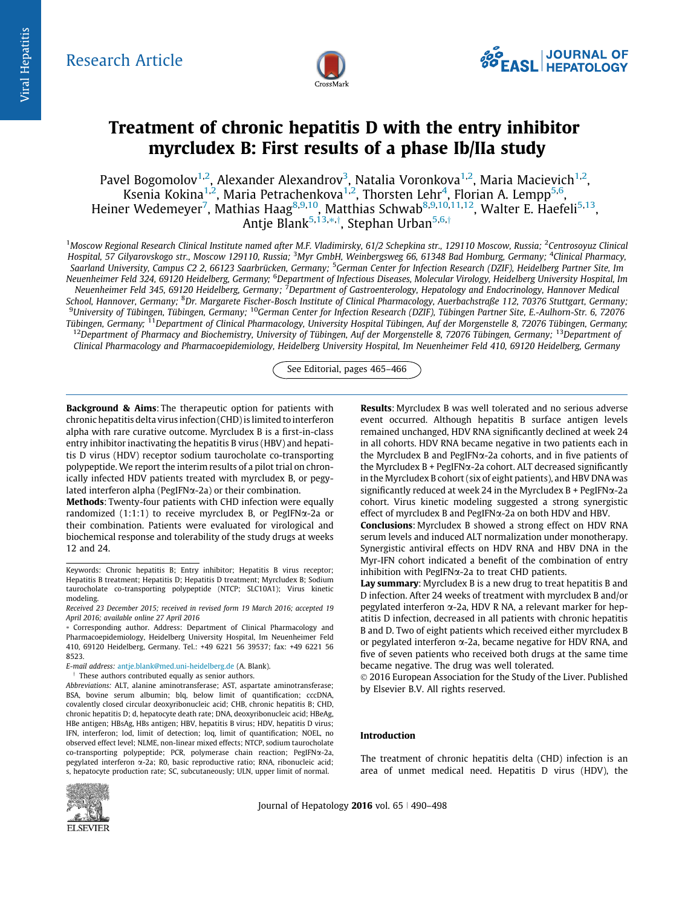

# Treatment of chronic hepatitis D with the entry inhibitor myrcludex B: First results of a phase Ib/IIa study

Pavel Bogomolov $^{1,2}$ , Alexander Alexandrov $^3$ , Natalia Voronkova $^{1,2}$ , Maria Macievich $^{1,2}$ , Ksenia Kokina<sup>1,2</sup>, Maria Petrachenkova<sup>1,2</sup>, Thorsten Lehr<sup>4</sup>, Florian A. Lempp<sup>5,6</sup>, Heiner Wedemeyer<sup>7</sup>, Mathias Haag<sup>8,9,10</sup>, Matthias Schwab<sup>8,9,10,11,12</sup>, Walter E. Haefeli<sup>5,13</sup>, Antje Blank<sup>5,13,</sup>\*,†, Stephan Urban<sup>5,6,†</sup>

<sup>1</sup>Moscow Regional Research Clinical Institute named after M.F. Vladimirsky, 61/2 Schepkina str., 129110 Moscow, Russia; <sup>2</sup>Centrosoyuz Clinical Hospital, 57 Gilyarovskogo str., Moscow 129110, Russia; <sup>3</sup>Myr GmbH, Weinbergsweg 66, 61348 Bad Homburg, Germany; <sup>4</sup>Clinical Pharmacy, Saarland University, Campus C2 2, 66123 Saarbrücken, Germany; <sup>5</sup>German Center for Infection Research (DZIF), Heidelberg Partner Site, Im Neuenheimer Feld 324, 69120 Heidelberg, Germany; <sup>6</sup>Department of Infectious Diseases, Molecular Virology, Heidelberg University Hospital, Im Neuenheimer Feld 345, 69120 Heidelberg, Germany; <sup>7</sup>Department of Gastroenterology, Hepatology and Endocrinology, Hannover Medical School, Hannover, Germany; <sup>8</sup>Dr. Margarete Fischer-Bosch Institute of Clinical Pharmacology, Auerbachstraße 112, 70376 Stuttgart, Germany; <sup>9</sup>University of Tübingen, Tübingen, Germany; <sup>10</sup>German Center for Infection Research (DZIF), Tübingen Partner Site, E.-Aulhorn-Str. 6, 72076 Tübingen, Germany; <sup>11</sup>Department of Clinical Pharmacology, University Hospital Tübingen, Auf der Morgenstelle 8, 72076 Tübingen, Germany;  $12$ Department of Pharmacy and Biochemistry, University of Tübingen, Auf der Morgenstelle 8, 72076 Tübingen, Germany;  $13$ Department of Clinical Pharmacology and Pharmacoepidemiology, Heidelberg University Hospital, Im Neuenheimer Feld 410, 69120 Heidelberg, Germany

See Editorial, pages 465–466

Background & Aims: The therapeutic option for patients with chronic hepatitis delta virus infection (CHD) is limited to interferon alpha with rare curative outcome. Myrcludex B is a first-in-class entry inhibitor inactivating the hepatitis B virus (HBV) and hepatitis D virus (HDV) receptor sodium taurocholate co-transporting polypeptide. We report the interim results of a pilot trial on chronically infected HDV patients treated with myrcludex B, or pegylated interferon alpha (PegIFN $\alpha$ -2a) or their combination.

Methods: Twenty-four patients with CHD infection were equally randomized  $(1:1:1)$  to receive myrcludex B, or PegIFN $\alpha$ -2a or their combination. Patients were evaluated for virological and biochemical response and tolerability of the study drugs at weeks 12 and 24.

Abbreviations: ALT, alanine aminotransferase; AST, aspartate aminotransferase; BSA, bovine serum albumin; blq, below limit of quantification; cccDNA, covalently closed circular deoxyribonucleic acid; CHB, chronic hepatitis B; CHD, chronic hepatitis D; d, hepatocyte death rate; DNA, deoxyribonucleic acid; HBeAg, HBe antigen; HBsAg, HBs antigen; HBV, hepatitis B virus; HDV, hepatitis D virus; IFN, interferon; lod, limit of detection; loq, limit of quantification; NOEL, no observed effect level; NLME, non-linear mixed effects; NTCP, sodium taurocholate co-transporting polypeptide; PCR, polymerase chain reaction; PegIFNa-2a, pegylated interferon  $\alpha$ -2a; R0, basic reproductive ratio; RNA, ribonucleic acid; s, hepatocyte production rate; SC, subcutaneously; ULN, upper limit of normal.



Results: Myrcludex B was well tolerated and no serious adverse event occurred. Although hepatitis B surface antigen levels remained unchanged, HDV RNA significantly declined at week 24 in all cohorts. HDV RNA became negative in two patients each in the Myrcludex B and PegIFNa-2a cohorts, and in five patients of the Myrcludex  $B + \text{PegIFN}\alpha$ -2a cohort. ALT decreased significantly in the Myrcludex B cohort (six of eight patients), and HBV DNA was significantly reduced at week 24 in the Myrcludex  $B + \text{PegIFN}\alpha$ -2a cohort. Virus kinetic modeling suggested a strong synergistic effect of myrcludex B and PegIFN $\alpha$ -2a on both HDV and HBV.

Conclusions: Myrcludex B showed a strong effect on HDV RNA serum levels and induced ALT normalization under monotherapy. Synergistic antiviral effects on HDV RNA and HBV DNA in the Myr-IFN cohort indicated a benefit of the combination of entry inhibition with PegIFN $\alpha$ -2a to treat CHD patients.

Lay summary: Myrcludex B is a new drug to treat hepatitis B and D infection. After 24 weeks of treatment with myrcludex B and/or pegylated interferon  $\alpha$ -2a, HDV R NA, a relevant marker for hepatitis D infection, decreased in all patients with chronic hepatitis B and D. Two of eight patients which received either myrcludex B or pegylated interferon  $\alpha$ -2a, became negative for HDV RNA, and five of seven patients who received both drugs at the same time became negative. The drug was well tolerated.

 2016 European Association for the Study of the Liver. Published by Elsevier B.V. All rights reserved.

## Introduction

The treatment of chronic hepatitis delta (CHD) infection is an area of unmet medical need. Hepatitis D virus (HDV), the

Journal of Hepatology 2016 vol.  $65 \mid 490-498$ 

Keywords: Chronic hepatitis B; Entry inhibitor; Hepatitis B virus receptor; Hepatitis B treatment; Hepatitis D; Hepatitis D treatment; Myrcludex B; Sodium taurocholate co-transporting polypeptide (NTCP; SLC10A1); Virus kinetic modeling.

Received 23 December 2015; received in revised form 19 March 2016; accepted 19 April 2016; available online 27 April 2016

<sup>⇑</sup> Corresponding author. Address: Department of Clinical Pharmacology and Pharmacoepidemiology, Heidelberg University Hospital, Im Neuenheimer Feld 410, 69120 Heidelberg, Germany. Tel.: +49 6221 56 39537; fax: +49 6221 56 8523.

E-mail address: [antje.blank@med.uni-heidelberg.de](mailto:antje.blank@med.uni-heidelberg.de) (A. Blank).

 $\dagger$  These authors contributed equally as senior authors.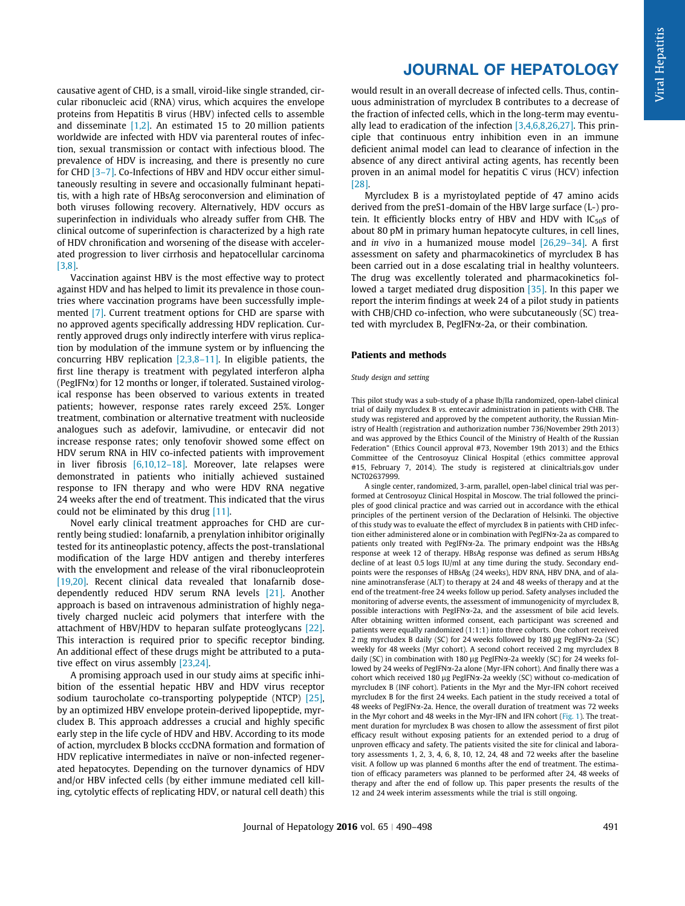causative agent of CHD, is a small, viroid-like single stranded, circular ribonucleic acid (RNA) virus, which acquires the envelope proteins from Hepatitis B virus (HBV) infected cells to assemble and disseminate [\[1,2\].](#page-7-0) An estimated 15 to 20 million patients worldwide are infected with HDV via parenteral routes of infection, sexual transmission or contact with infectious blood. The prevalence of HDV is increasing, and there is presently no cure for CHD [\[3–7\]](#page-7-0). Co-Infections of HBV and HDV occur either simultaneously resulting in severe and occasionally fulminant hepatitis, with a high rate of HBsAg seroconversion and elimination of both viruses following recovery. Alternatively, HDV occurs as superinfection in individuals who already suffer from CHB. The clinical outcome of superinfection is characterized by a high rate of HDV chronification and worsening of the disease with accelerated progression to liver cirrhosis and hepatocellular carcinoma [\[3,8\].](#page-7-0)

Vaccination against HBV is the most effective way to protect against HDV and has helped to limit its prevalence in those countries where vaccination programs have been successfully implemented [\[7\].](#page-7-0) Current treatment options for CHD are sparse with no approved agents specifically addressing HDV replication. Currently approved drugs only indirectly interfere with virus replication by modulation of the immune system or by influencing the concurring HBV replication [\[2,3,8–11\]](#page-7-0). In eligible patients, the first line therapy is treatment with pegylated interferon alpha (PegIFN $\alpha$ ) for 12 months or longer, if tolerated. Sustained virological response has been observed to various extents in treated patients; however, response rates rarely exceed 25%. Longer treatment, combination or alternative treatment with nucleoside analogues such as adefovir, lamivudine, or entecavir did not increase response rates; only tenofovir showed some effect on HDV serum RNA in HIV co-infected patients with improvement in liver fibrosis [\[6,10,12–18\].](#page-7-0) Moreover, late relapses were demonstrated in patients who initially achieved sustained response to IFN therapy and who were HDV RNA negative 24 weeks after the end of treatment. This indicated that the virus could not be eliminated by this drug [\[11\]](#page-7-0).

Novel early clinical treatment approaches for CHD are currently being studied: lonafarnib, a prenylation inhibitor originally tested for its antineoplastic potency, affects the post-translational modification of the large HDV antigen and thereby interferes with the envelopment and release of the viral ribonucleoprotein [\[19,20\]](#page-7-0). Recent clinical data revealed that lonafarnib dosedependently reduced HDV serum RNA levels [\[21\].](#page-7-0) Another approach is based on intravenous administration of highly negatively charged nucleic acid polymers that interfere with the attachment of HBV/HDV to heparan sulfate proteoglycans [\[22\]](#page-7-0). This interaction is required prior to specific receptor binding. An additional effect of these drugs might be attributed to a putative effect on virus assembly [\[23,24\]](#page-7-0).

A promising approach used in our study aims at specific inhibition of the essential hepatic HBV and HDV virus receptor sodium taurocholate co-transporting polypeptide (NTCP) [\[25\]](#page-7-0), by an optimized HBV envelope protein-derived lipopeptide, myrcludex B. This approach addresses a crucial and highly specific early step in the life cycle of HDV and HBV. According to its mode of action, myrcludex B blocks cccDNA formation and formation of HDV replicative intermediates in naïve or non-infected regenerated hepatocytes. Depending on the turnover dynamics of HDV and/or HBV infected cells (by either immune mediated cell killing, cytolytic effects of replicating HDV, or natural cell death) this

## JOURNAL OF HEPATOLOGY

would result in an overall decrease of infected cells. Thus, continuous administration of myrcludex B contributes to a decrease of the fraction of infected cells, which in the long-term may eventually lead to eradication of the infection [\[3,4,6,8,26,27\].](#page-7-0) This principle that continuous entry inhibition even in an immune deficient animal model can lead to clearance of infection in the absence of any direct antiviral acting agents, has recently been proven in an animal model for hepatitis C virus (HCV) infection [\[28\]](#page-7-0).

Myrcludex B is a myristoylated peptide of 47 amino acids derived from the preS1-domain of the HBV large surface (L-) protein. It efficiently blocks entry of HBV and HDV with  $IC_{50}$ s of about 80 pM in primary human hepatocyte cultures, in cell lines, and in vivo in a humanized mouse model  $[26,29-34]$ . A first assessment on safety and pharmacokinetics of myrcludex B has been carried out in a dose escalating trial in healthy volunteers. The drug was excellently tolerated and pharmacokinetics fol-lowed a target mediated drug disposition [\[35\].](#page-7-0) In this paper we report the interim findings at week 24 of a pilot study in patients with CHB/CHD co-infection, who were subcutaneously (SC) treated with myrcludex B, PegIFNα-2a, or their combination.

### Patients and methods

#### Study design and setting

This pilot study was a sub-study of a phase Ib/IIa randomized, open-label clinical trial of daily myrcludex B vs. entecavir administration in patients with CHB. The study was registered and approved by the competent authority, the Russian Ministry of Health (registration and authorization number 736/November 29th 2013) and was approved by the Ethics Council of the Ministry of Health of the Russian Federation" (Ethics Council approval #73, November 19th 2013) and the Ethics Committee of the Centrosoyuz Clinical Hospital (ethics committee approval #15, February 7, 2014). The study is registered at clinicaltrials.gov under NCT02637999.

A single center, randomized, 3-arm, parallel, open-label clinical trial was performed at Centrosoyuz Clinical Hospital in Moscow. The trial followed the principles of good clinical practice and was carried out in accordance with the ethical principles of the pertinent version of the Declaration of Helsinki. The objective of this study was to evaluate the effect of myrcludex B in patients with CHD infection either administered alone or in combination with PegIFNa-2a as compared to patients only treated with PegIFNa-2a. The primary endpoint was the HBsAg response at week 12 of therapy. HBsAg response was defined as serum HBsAg decline of at least 0.5 logs IU/ml at any time during the study. Secondary endpoints were the responses of HBsAg (24 weeks), HDV RNA, HBV DNA, and of alanine aminotransferase (ALT) to therapy at 24 and 48 weeks of therapy and at the end of the treatment-free 24 weeks follow up period. Safety analyses included the monitoring of adverse events, the assessment of immunogenicity of myrcludex B, possible interactions with PegIFN $\alpha$ -2a, and the assessment of bile acid levels. After obtaining written informed consent, each participant was screened and patients were equally randomized (1:1:1) into three cohorts. One cohort received 2 mg myrcludex B daily (SC) for 24 weeks followed by 180 µg PegIFN $\alpha$ -2a (SC) weekly for 48 weeks (Myr cohort). A second cohort received 2 mg myrcludex B daily (SC) in combination with 180 µg PegIFN $\alpha$ -2a weekly (SC) for 24 weeks followed by 24 weeks of PegIFN $\alpha$ -2a alone (Myr-IFN cohort). And finally there was a cohort which received 180 µg PegIFNa-2a weekly (SC) without co-medication of myrcludex B (INF cohort). Patients in the Myr and the Myr-IFN cohort received myrcludex B for the first 24 weeks. Each patient in the study received a total of 48 weeks of PegIFNa-2a. Hence, the overall duration of treatment was 72 weeks in the Myr cohort and 48 weeks in the Myr-IFN and IFN cohort ([Fig. 1](#page-2-0)). The treatment duration for myrcludex B was chosen to allow the assessment of first pilot efficacy result without exposing patients for an extended period to a drug of unproven efficacy and safety. The patients visited the site for clinical and laboratory assessments 1, 2, 3, 4, 6, 8, 10, 12, 24, 48 and 72 weeks after the baseline visit. A follow up was planned 6 months after the end of treatment. The estimation of efficacy parameters was planned to be performed after 24, 48 weeks of therapy and after the end of follow up. This paper presents the results of the 12 and 24 week interim assessments while the trial is still ongoing.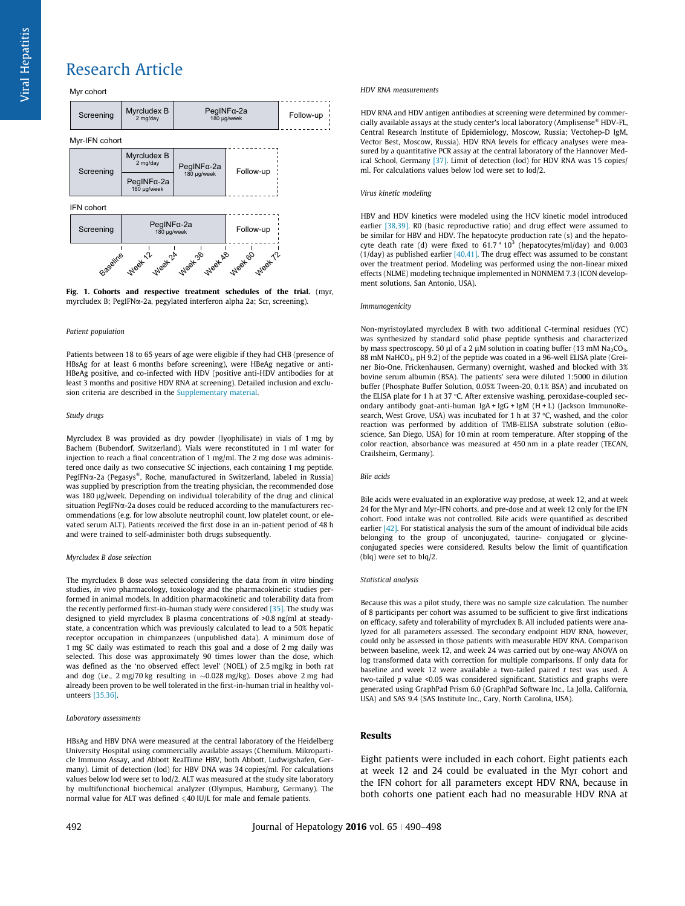<span id="page-2-0"></span>Myr cohort





#### Patient population

Patients between 18 to 65 years of age were eligible if they had CHB (presence of HBsAg for at least 6 months before screening), were HBeAg negative or anti-HBeAg positive, and co-infected with HDV (positive anti-HDV antibodies for at least 3 months and positive HDV RNA at screening). Detailed inclusion and exclusion criteria are described in the [Supplementary material](#page-7-0).

#### Study drugs

Myrcludex B was provided as dry powder (lyophilisate) in vials of 1 mg by Bachem (Bubendorf, Switzerland). Vials were reconstituted in 1 ml water for injection to reach a final concentration of 1 mg/ml. The 2 mg dose was administered once daily as two consecutive SC injections, each containing 1 mg peptide.  $PegIFN\alpha-2a$  (Pegasys®, Roche, manufactured in Switzerland, labeled in Russia) was supplied by prescription from the treating physician, the recommended dose was 180 µg/week. Depending on individual tolerability of the drug and clinical situation PegIFN $\alpha$ -2a doses could be reduced according to the manufacturers recommendations (e.g. for low absolute neutrophil count, low platelet count, or elevated serum ALT). Patients received the first dose in an in-patient period of 48 h and were trained to self-administer both drugs subsequently.

#### Myrcludex B dose selection

The myrcludex B dose was selected considering the data from in vitro binding studies, in vivo pharmacology, toxicology and the pharmacokinetic studies performed in animal models. In addition pharmacokinetic and tolerability data from the recently performed first-in-human study were considered [\[35\]](#page-7-0). The study was designed to yield myrcludex B plasma concentrations of >0.8 ng/ml at steadystate, a concentration which was previously calculated to lead to a 50% hepatic receptor occupation in chimpanzees (unpublished data). A minimum dose of 1 mg SC daily was estimated to reach this goal and a dose of 2 mg daily was selected. This dose was approximately 90 times lower than the dose, which was defined as the 'no observed effect level' (NOEL) of 2.5 mg/kg in both rat and dog (i.e.,  $2 \text{ mg}/70 \text{ kg}$  resulting in  $\sim 0.028 \text{ mg/kg}$ ). Doses above  $2 \text{ mg}$  had already been proven to be well tolerated in the first-in-human trial in healthy volunteers [\[35,36\]](#page-7-0).

#### Laboratory assessments

HBsAg and HBV DNA were measured at the central laboratory of the Heidelberg University Hospital using commercially available assays (Chemilum. Mikroparticle Immuno Assay, and Abbott RealTime HBV, both Abbott, Ludwigshafen, Germany). Limit of detection (lod) for HBV DNA was 34 copies/ml. For calculations values below lod were set to lod/2. ALT was measured at the study site laboratory by multifunctional biochemical analyzer (Olympus, Hamburg, Germany). The normal value for ALT was defined  $\leqslant$  40 IU/L for male and female patients.

#### HDV RNA measurements

HDV RNA and HDV antigen antibodies at screening were determined by commercially available assays at the study center's local laboratory (Amplisense® HDV-FL, Central Research Institute of Epidemiology, Moscow, Russia; Vectohep-D IgM, Vector Best, Moscow, Russia). HDV RNA levels for efficacy analyses were measured by a quantitative PCR assay at the central laboratory of the Hannover Medical School, Germany [\[37\]](#page-7-0). Limit of detection (lod) for HDV RNA was 15 copies/ ml. For calculations values below lod were set to lod/2.

#### Virus kinetic modeling

HBV and HDV kinetics were modeled using the HCV kinetic model introduced earlier [\[38,39\].](#page-7-0) R0 (basic reproductive ratio) and drug effect were assumed to be similar for HBV and HDV. The hepatocyte production rate (s) and the hepatocyte death rate (d) were fixed to  $61.7 * 10^3$  (hepatocytes/ml/day) and 0.003 ( $1$ /day) as published earlier [ $40,41$ ]. The drug effect was assumed to be constant over the treatment period. Modeling was performed using the non-linear mixed effects (NLME) modeling technique implemented in NONMEM 7.3 (ICON development solutions, San Antonio, USA).

#### Immunogenicity

Non-myristoylated myrcludex B with two additional C-terminal residues (YC) was synthesized by standard solid phase peptide synthesis and characterized by mass spectroscopy. 50 µl of a 2 µM solution in coating buffer (13 mM Na<sub>2</sub>CO<sub>3</sub>, 88 mM NaHCO<sub>3</sub>, pH 9.2) of the peptide was coated in a 96-well ELISA plate (Greiner Bio-One, Frickenhausen, Germany) overnight, washed and blocked with 3% bovine serum albumin (BSA). The patients' sera were diluted 1:5000 in dilution buffer (Phosphate Buffer Solution, 0.05% Tween-20, 0.1% BSA) and incubated on the ELISA plate for 1 h at 37 °C. After extensive washing, peroxidase-coupled secondary antibody goat-anti-human IgA + IgG + IgM (H + L) (Jackson ImmunoResearch, West Grove, USA) was incubated for 1 h at 37  $\degree$ C, washed, and the color reaction was performed by addition of TMB-ELISA substrate solution (eBioscience, San Diego, USA) for 10 min at room temperature. After stopping of the color reaction, absorbance was measured at 450 nm in a plate reader (TECAN, Crailsheim, Germany).

#### Bile acids

Bile acids were evaluated in an explorative way predose, at week 12, and at week 24 for the Myr and Myr-IFN cohorts, and pre-dose and at week 12 only for the IFN cohort. Food intake was not controlled. Bile acids were quantified as described earlier [\[42\]](#page-7-0). For statistical analysis the sum of the amount of individual bile acids belonging to the group of unconjugated, taurine- conjugated or glycineconjugated species were considered. Results below the limit of quantification (blq) were set to blq/2.

#### Statistical analysis

Because this was a pilot study, there was no sample size calculation. The number of 8 participants per cohort was assumed to be sufficient to give first indications on efficacy, safety and tolerability of myrcludex B. All included patients were analyzed for all parameters assessed. The secondary endpoint HDV RNA, however, could only be assessed in those patients with measurable HDV RNA. Comparison between baseline, week 12, and week 24 was carried out by one-way ANOVA on log transformed data with correction for multiple comparisons. If only data for baseline and week 12 were available a two-tailed paired t test was used. A two-tailed p value <0.05 was considered significant. Statistics and graphs were generated using GraphPad Prism 6.0 (GraphPad Software Inc., La Jolla, California, USA) and SAS 9.4 (SAS Institute Inc., Cary, North Carolina, USA).

## Results

Eight patients were included in each cohort. Eight patients each at week 12 and 24 could be evaluated in the Myr cohort and the IFN cohort for all parameters except HDV RNA, because in both cohorts one patient each had no measurable HDV RNA at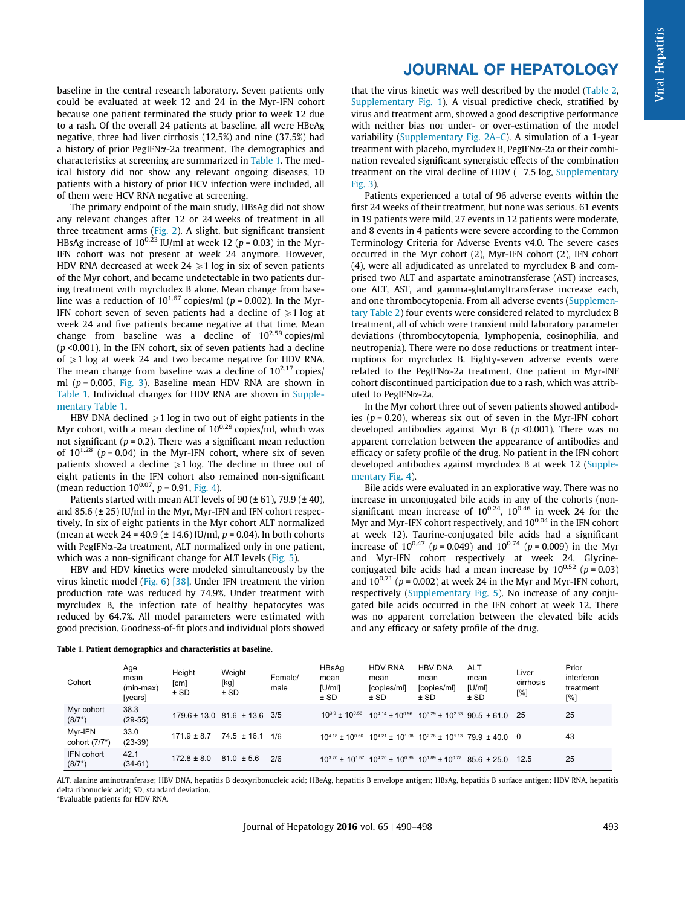baseline in the central research laboratory. Seven patients only could be evaluated at week 12 and 24 in the Myr-IFN cohort because one patient terminated the study prior to week 12 due to a rash. Of the overall 24 patients at baseline, all were HBeAg negative, three had liver cirrhosis (12.5%) and nine (37.5%) had a history of prior PegIFN $\alpha$ -2a treatment. The demographics and characteristics at screening are summarized in Table 1. The medical history did not show any relevant ongoing diseases, 10 patients with a history of prior HCV infection were included, all of them were HCV RNA negative at screening.

The primary endpoint of the main study, HBsAg did not show any relevant changes after 12 or 24 weeks of treatment in all three treatment arms ([Fig. 2](#page-4-0)). A slight, but significant transient HBsAg increase of  $10^{0.23}$  IU/ml at week 12 (p = 0.03) in the Myr-IFN cohort was not present at week 24 anymore. However, HDV RNA decreased at week  $24 \ge 1 \log$  in six of seven patients of the Myr cohort, and became undetectable in two patients during treatment with myrcludex B alone. Mean change from baseline was a reduction of  $10^{1.67}$  copies/ml ( $p = 0.002$ ). In the Myr-IFN cohort seven of seven patients had a decline of  $\geq 1$  log at week 24 and five patients became negative at that time. Mean change from baseline was a decline of 102.59 copies/ml  $(p \le 0.001)$ . In the IFN cohort, six of seven patients had a decline of  $\geq 1$  log at week 24 and two became negative for HDV RNA. The mean change from baseline was a decline of  $10^{2.17}$  copies/ ml ( $p = 0.005$ , [Fig. 3\)](#page-4-0). Baseline mean HDV RNA are shown in Table 1. Individual changes for HDV RNA are shown in [Supple](#page-7-0)[mentary Table 1.](#page-7-0)

HBV DNA declined  $\geqslant$  1 log in two out of eight patients in the Myr cohort, with a mean decline of  $10^{0.29}$  copies/ml, which was not significant ( $p = 0.2$ ). There was a significant mean reduction of  $10^{1.28}$  (p = 0.04) in the Myr-IFN cohort, where six of seven patients showed a decline  $\geq 1$  log. The decline in three out of eight patients in the IFN cohort also remained non-significant (mean reduction  $10^{0.07}$ ,  $p = 0.91$ , [Fig. 4](#page-4-0)).

Patients started with mean ALT levels of 90  $(\pm 61)$ , 79.9  $(\pm 40)$ , and 85.6 (± 25) IU/ml in the Myr, Myr-IFN and IFN cohort respectively. In six of eight patients in the Myr cohort ALT normalized (mean at week  $24 = 40.9$  ( $\pm$  14.6) IU/ml,  $p = 0.04$ ). In both cohorts with PegIFN $\alpha$ -2a treatment, ALT normalized only in one patient, which was a non-significant change for ALT levels ([Fig. 5\)](#page-5-0).

HBV and HDV kinetics were modeled simultaneously by the virus kinetic model ([Fig. 6\)](#page-5-0) [\[38\]](#page-7-0). Under IFN treatment the virion production rate was reduced by 74.9%. Under treatment with myrcludex B, the infection rate of healthy hepatocytes was reduced by 64.7%. All model parameters were estimated with good precision. Goodness-of-fit plots and individual plots showed

## JOURNAL OF HEPATOLOGY

that the virus kinetic was well described by the model [\(Table 2](#page-5-0), [Supplementary Fig. 1](#page-7-0)). A visual predictive check, stratified by virus and treatment arm, showed a good descriptive performance with neither bias nor under- or over-estimation of the model variability ([Supplementary Fig. 2A–C](#page-7-0)). A simulation of a 1-year treatment with placebo, myrcludex B, PegIFNa-2a or their combination revealed significant synergistic effects of the combination treatment on the viral decline of HDV  $(-7.5 \log,$  [Supplementary](#page-7-0) [Fig. 3\)](#page-7-0).

Patients experienced a total of 96 adverse events within the first 24 weeks of their treatment, but none was serious. 61 events in 19 patients were mild, 27 events in 12 patients were moderate, and 8 events in 4 patients were severe according to the Common Terminology Criteria for Adverse Events v4.0. The severe cases occurred in the Myr cohort (2), Myr-IFN cohort (2), IFN cohort (4), were all adjudicated as unrelated to myrcludex B and comprised two ALT and aspartate aminotransferase (AST) increases, one ALT, AST, and gamma-glutamyltransferase increase each, and one thrombocytopenia. From all adverse events ([Supplemen](#page-7-0)[tary Table 2\)](#page-7-0) four events were considered related to myrcludex B treatment, all of which were transient mild laboratory parameter deviations (thrombocytopenia, lymphopenia, eosinophilia, and neutropenia). There were no dose reductions or treatment interruptions for myrcludex B. Eighty-seven adverse events were related to the PegIFNa-2a treatment. One patient in Myr-INF cohort discontinued participation due to a rash, which was attributed to PegIFNa-2a.

In the Myr cohort three out of seven patients showed antibodies ( $p = 0.20$ ), whereas six out of seven in the Myr-IFN cohort developed antibodies against Myr B ( $p$  <0.001). There was no apparent correlation between the appearance of antibodies and efficacy or safety profile of the drug. No patient in the IFN cohort developed antibodies against myrcludex B at week 12 [\(Supple](#page-7-0)[mentary Fig. 4\)](#page-7-0).

Bile acids were evaluated in an explorative way. There was no increase in unconjugated bile acids in any of the cohorts (nonsignificant mean increase of  $10^{0.24}$ ,  $10^{0.46}$  in week 24 for the Myr and Myr-IFN cohort respectively, and  $10^{0.04}$  in the IFN cohort at week 12). Taurine-conjugated bile acids had a significant increase of  $10^{0.47}$  (p = 0.049) and  $10^{0.74}$  (p = 0.009) in the Myr and Myr-IFN cohort respectively at week 24. Glycineconjugated bile acids had a mean increase by  $10^{0.52}$  ( $p = 0.03$ ) and  $10^{0.71}$  ( $p = 0.002$ ) at week 24 in the Myr and Myr-IFN cohort, respectively ([Supplementary Fig. 5](#page-7-0)). No increase of any conjugated bile acids occurred in the IFN cohort at week 12. There was no apparent correlation between the elevated bile acids and any efficacy or safety profile of the drug.

| Cohort                   | Age<br>mean<br>(min-max)<br>[years] | Height<br>[cm]<br>$±$ SD | Weight<br>[kg]<br>$±$ SD             | Female/<br>male | HBsAg<br>mean<br>[U/ml]<br>$±$ SD | <b>HDV RNA</b><br>mean<br>[copies/ml]<br>$±$ SD | <b>HBV DNA</b><br>mean<br>[copies/ml]<br>$±$ SD                                                                                     | <b>ALT</b><br>mean<br>[U/m]<br>$±$ SD | Liver<br>cirrhosis<br>[%] | Prior<br>interferon<br>treatment<br>$[\%]$ |
|--------------------------|-------------------------------------|--------------------------|--------------------------------------|-----------------|-----------------------------------|-------------------------------------------------|-------------------------------------------------------------------------------------------------------------------------------------|---------------------------------------|---------------------------|--------------------------------------------|
| Myr cohort<br>$(8/7^*)$  | 38.3<br>$(29-55)$                   |                          | $179.6 \pm 13.0$ 81.6 $\pm$ 13.6 3/5 |                 |                                   |                                                 | $10^{3.9} \pm 10^{0.56}$ 10 <sup>4.14</sup> $\pm$ 10 <sup>0.96</sup> 10 <sup>3.29</sup> $\pm$ 10 <sup>2.33</sup> 90.5 $\pm$ 61.0 25 |                                       |                           | 25                                         |
| Myr-IFN<br>cohort (7/7*) | 33.0<br>$(23-39)$                   | $171.9 \pm 8.7$          | $74.5 \pm 16.1$ 1/6                  |                 |                                   |                                                 | $10^{4.18} + 10^{0.56}$ $10^{4.21} + 10^{1.08}$ $10^{2.78} + 10^{1.13}$ 79 9 + 40 0 0                                               |                                       |                           | 43                                         |
| IFN cohort<br>$(8/7^*)$  | 42.1<br>$(34-61)$                   | $172.8 \pm 8.0$          | $81.0 \pm 5.6$                       | 2/6             |                                   |                                                 | $10^{3.20} \pm 10^{1.57}$ $10^{4.20} \pm 10^{0.95}$ $10^{1.89} \pm 10^{0.77}$                                                       | $85.6 \pm 25.0$                       | 12.5                      | 25                                         |

Table 1. Patient demographics and characteristics at baseline.

ALT, alanine aminotranferase; HBV DNA, hepatitis B deoxyribonucleic acid; HBeAg, hepatitis B envelope antigen; HBsAg, hepatitis B surface antigen; HDV RNA, hepatitis delta ribonucleic acid; SD, standard deviation. ⁄ Evaluable patients for HDV RNA.

Journal of Hepatology **2016** vol. 65 | 490–498 **1918** 1920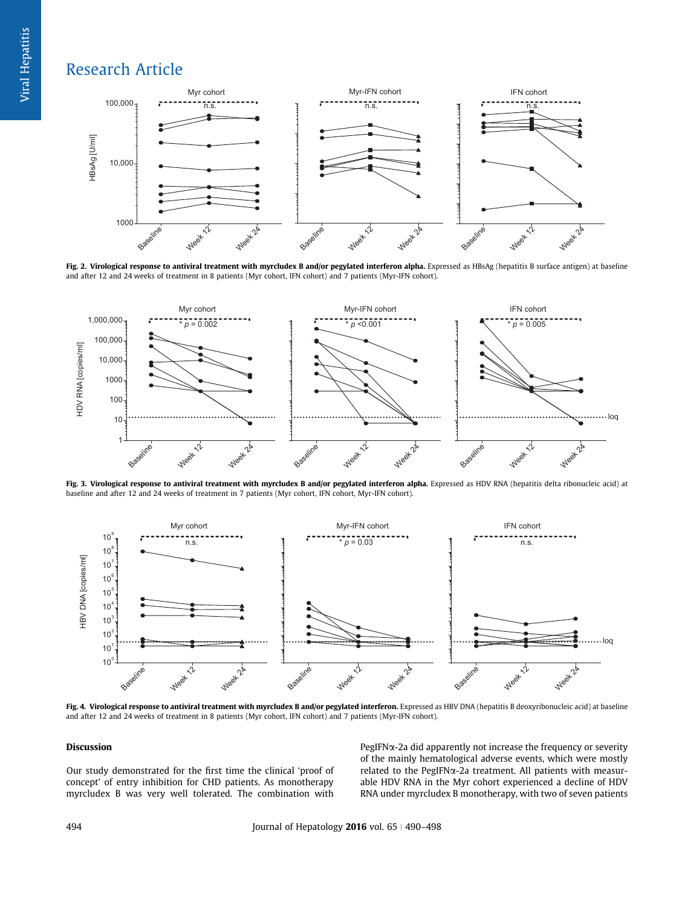<span id="page-4-0"></span>

Fig. 2. Virological response to antiviral treatment with myrcludex B and/or pegylated interferon alpha. Expressed as HBsAg (hepatitis B surface antigen) at baseline and after 12 and 24 weeks of treatment in 8 patients (Myr cohort, IFN cohort) and 7 patients (Myr-IFN cohort).



Fig. 3. Virological response to antiviral treatment with myrcludex B and/or pegylated interferon alpha. Expressed as HDV RNA (hepatitis delta ribonucleic acid) at baseline and after 12 and 24 weeks of treatment in 7 patients (Myr cohort, IFN cohort, Myr-IFN cohort).



Fig. 4. Virological response to antiviral treatment with myrcludex B and/or pegylated interferon. Expressed as HBV DNA (hepatitis B deoxyribonucleic acid) at baseline and after 12 and 24 weeks of treatment in 8 patients (Myr cohort, IFN cohort) and 7 patients (Myr-IFN cohort).

## Discussion

Our study demonstrated for the first time the clinical 'proof of concept' of entry inhibition for CHD patients. As monotherapy myrcludex B was very well tolerated. The combination with

 $PegIFN<sub>\alpha</sub>$ -2a did apparently not increase the frequency or severity of the mainly hematological adverse events, which were mostly related to the PegIFN $\alpha$ -2a treatment. All patients with measurable HDV RNA in the Myr cohort experienced a decline of HDV RNA under myrcludex B monotherapy, with two of seven patients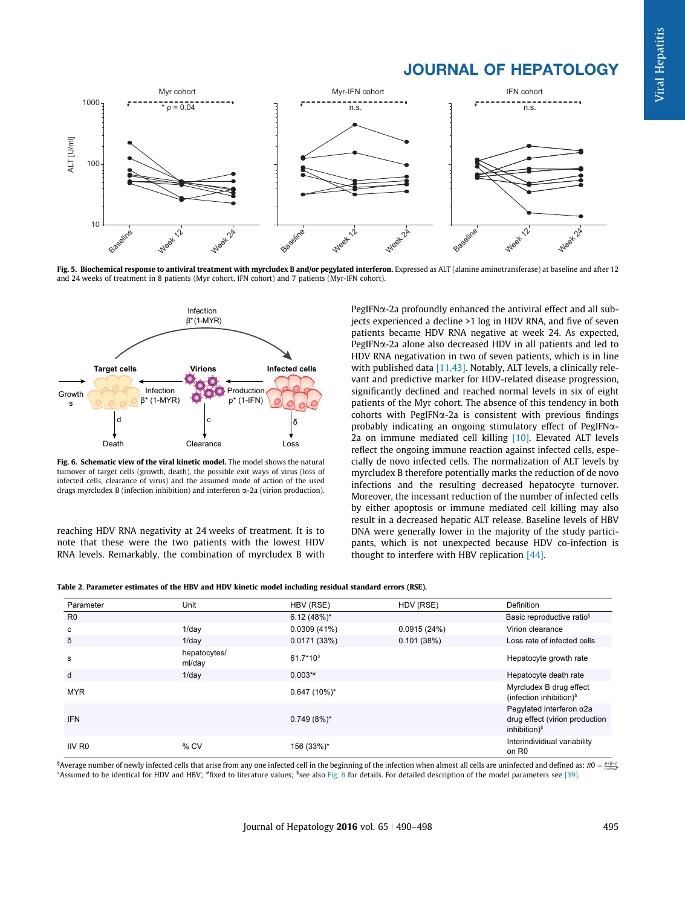# JOURNAL OF HEPATOLOGY

<span id="page-5-0"></span>

Fig. 5. Biochemical response to antiviral treatment with myrcludex B and/or pegylated interferon. Expressed as ALT (alanine aminotransferase) at baseline and after 12 and 24 weeks of treatment in 8 patients (Myr cohort, IFN cohort) and 7 patients (Myr-IFN cohort).



Fig. 6. Schematic view of the viral kinetic model. The model shows the natural turnover of target cells (growth, death), the possible exit ways of virus (loss of infected cells, clearance of virus) and the assumed mode of action of the used drugs myrcludex B (infection inhibition) and interferon  $\alpha$ -2a (virion production).

reaching HDV RNA negativity at 24 weeks of treatment. It is to note that these were the two patients with the lowest HDV RNA levels. Remarkably, the combination of myrcludex B with PegIFN $\alpha$ -2a profoundly enhanced the antiviral effect and all subjects experienced a decline >1 log in HDV RNA, and five of seven patients became HDV RNA negative at week 24. As expected,  $PegIFN\alpha$ -2a alone also decreased HDV in all patients and led to HDV RNA negativation in two of seven patients, which is in line with published data  $[11,43]$ . Notably, ALT levels, a clinically relevant and predictive marker for HDV-related disease progression, significantly declined and reached normal levels in six of eight patients of the Myr cohort. The absence of this tendency in both cohorts with PegIFN $\alpha$ -2a is consistent with previous findings probably indicating an ongoing stimulatory effect of PegIFNa-2a on immune mediated cell killing [\[10\].](#page-7-0) Elevated ALT levels reflect the ongoing immune reaction against infected cells, especially de novo infected cells. The normalization of ALT levels by myrcludex B therefore potentially marks the reduction of de novo infections and the resulting decreased hepatocyte turnover. Moreover, the incessant reduction of the number of infected cells by either apoptosis or immune mediated cell killing may also result in a decreased hepatic ALT release. Baseline levels of HBV DNA were generally lower in the majority of the study participants, which is not unexpected because HDV co-infection is thought to interfere with HBV replication [\[44\].](#page-8-0)

|  | Table 2. Parameter estimates of the HBV and HDV kinetic model including residual standard errors (RSE). |  |  |  |  |  |
|--|---------------------------------------------------------------------------------------------------------|--|--|--|--|--|
|  |                                                                                                         |  |  |  |  |  |

| Parameter          | Unit                   | HBV (RSE)      | HDV (RSE)   | Definition                                                                                      |
|--------------------|------------------------|----------------|-------------|-------------------------------------------------------------------------------------------------|
| R <sub>0</sub>     |                        | $6.12(48%)$ *  |             | Basic reproductive ratio <sup>§</sup>                                                           |
| c                  | $1$ /day               | 0.0309(41%)    | 0.0915(24%) | Virion clearance                                                                                |
| δ                  | $1$ /dav               | 0.0171(33%)    | 0.101(38%)  | Loss rate of infected cells                                                                     |
| s                  | hepatocytes/<br>ml/day | 61.7*103       |             | Hepatocyte growth rate                                                                          |
| d                  | $1$ /day               | $0.003**$      |             | Hepatocyte death rate                                                                           |
| <b>MYR</b>         |                        | $0.647(10\%)*$ |             | Myrcludex B drug effect<br>(infection inhibition) $$$                                           |
| <b>IFN</b>         |                        | $0.749(8\%)*$  |             | Peqylated interferon $\alpha$ 2a<br>drug effect (virion production<br>inhibition) <sup>\$</sup> |
| IIV R <sub>0</sub> | $%$ CV                 | 156 (33%)*     |             | Interindividiual variability<br>on R <sub>0</sub>                                               |

<sup>§</sup>Average number of newly infected cells that arise from any one infected cell in the beginning of the infection when almost all cells are uninfected and defined as:  $R0 = \frac{pr\beta ss}{c* \delta nd}$ <br>\*Assumed to be identical for HDV a Assumed to be identical for HDV and HBV; \*fixed to literature values; <sup>s</sup>see also Fig. 6 for details. For detailed description of the model parameters see [\[39\].](#page-7-0)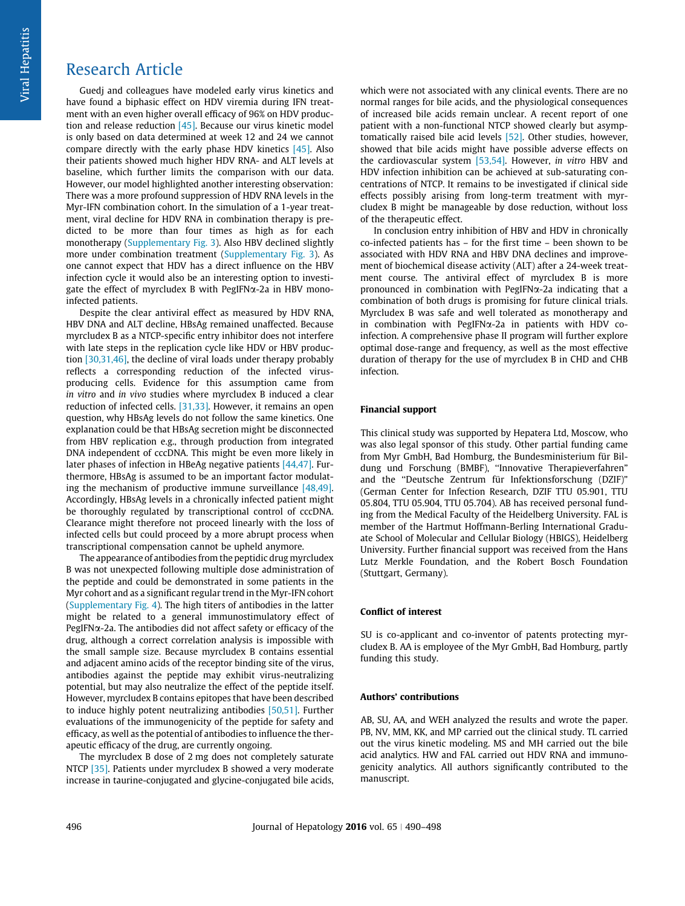Guedj and colleagues have modeled early virus kinetics and have found a biphasic effect on HDV viremia during IFN treatment with an even higher overall efficacy of 96% on HDV production and release reduction [\[45\].](#page-8-0) Because our virus kinetic model is only based on data determined at week 12 and 24 we cannot compare directly with the early phase HDV kinetics  $[45]$ . Also their patients showed much higher HDV RNA- and ALT levels at baseline, which further limits the comparison with our data. However, our model highlighted another interesting observation: There was a more profound suppression of HDV RNA levels in the Myr-IFN combination cohort. In the simulation of a 1-year treatment, viral decline for HDV RNA in combination therapy is predicted to be more than four times as high as for each monotherapy [\(Supplementary Fig. 3\)](#page-7-0). Also HBV declined slightly more under combination treatment ([Supplementary Fig. 3](#page-7-0)). As one cannot expect that HDV has a direct influence on the HBV infection cycle it would also be an interesting option to investigate the effect of myrcludex B with PegIFNa-2a in HBV monoinfected patients.

Despite the clear antiviral effect as measured by HDV RNA, HBV DNA and ALT decline, HBsAg remained unaffected. Because myrcludex B as a NTCP-specific entry inhibitor does not interfere with late steps in the replication cycle like HDV or HBV production [\[30,31,46\]](#page-7-0), the decline of viral loads under therapy probably reflects a corresponding reduction of the infected virusproducing cells. Evidence for this assumption came from in vitro and in vivo studies where myrcludex B induced a clear reduction of infected cells. [\[31,33\]](#page-7-0). However, it remains an open question, why HBsAg levels do not follow the same kinetics. One explanation could be that HBsAg secretion might be disconnected from HBV replication e.g., through production from integrated DNA independent of cccDNA. This might be even more likely in later phases of infection in HBeAg negative patients [\[44,47\].](#page-8-0) Furthermore, HBsAg is assumed to be an important factor modulating the mechanism of productive immune surveillance [\[48,49\]](#page-8-0). Accordingly, HBsAg levels in a chronically infected patient might be thoroughly regulated by transcriptional control of cccDNA. Clearance might therefore not proceed linearly with the loss of infected cells but could proceed by a more abrupt process when transcriptional compensation cannot be upheld anymore.

The appearance of antibodies from the peptidic drug myrcludex B was not unexpected following multiple dose administration of the peptide and could be demonstrated in some patients in the Myr cohort and as a significant regular trend in the Myr-IFN cohort [\(Supplementary Fig. 4](#page-7-0)). The high titers of antibodies in the latter might be related to a general immunostimulatory effect of  $PegIFN\alpha$ -2a. The antibodies did not affect safety or efficacy of the drug, although a correct correlation analysis is impossible with the small sample size. Because myrcludex B contains essential and adjacent amino acids of the receptor binding site of the virus, antibodies against the peptide may exhibit virus-neutralizing potential, but may also neutralize the effect of the peptide itself. However, myrcludex B contains epitopes that have been described to induce highly potent neutralizing antibodies [\[50,51\].](#page-8-0) Further evaluations of the immunogenicity of the peptide for safety and efficacy, as well as the potential of antibodies to influence the therapeutic efficacy of the drug, are currently ongoing.

The myrcludex B dose of 2 mg does not completely saturate NTCP [\[35\]](#page-7-0). Patients under myrcludex B showed a very moderate increase in taurine-conjugated and glycine-conjugated bile acids, which were not associated with any clinical events. There are no normal ranges for bile acids, and the physiological consequences of increased bile acids remain unclear. A recent report of one patient with a non-functional NTCP showed clearly but asymptomatically raised bile acid levels [\[52\].](#page-8-0) Other studies, however, showed that bile acids might have possible adverse effects on the cardiovascular system [\[53,54\]](#page-8-0). However, in vitro HBV and HDV infection inhibition can be achieved at sub-saturating concentrations of NTCP. It remains to be investigated if clinical side effects possibly arising from long-term treatment with myrcludex B might be manageable by dose reduction, without loss of the therapeutic effect.

In conclusion entry inhibition of HBV and HDV in chronically co-infected patients has – for the first time – been shown to be associated with HDV RNA and HBV DNA declines and improvement of biochemical disease activity (ALT) after a 24-week treatment course. The antiviral effect of myrcludex B is more pronounced in combination with PegIFNa-2a indicating that a combination of both drugs is promising for future clinical trials. Myrcludex B was safe and well tolerated as monotherapy and in combination with PegIFN $\alpha$ -2a in patients with HDV coinfection. A comprehensive phase II program will further explore optimal dose-range and frequency, as well as the most effective duration of therapy for the use of myrcludex B in CHD and CHB infection.

## Financial support

This clinical study was supported by Hepatera Ltd, Moscow, who was also legal sponsor of this study. Other partial funding came from Myr GmbH, Bad Homburg, the Bundesministerium für Bildung und Forschung (BMBF), ''Innovative Therapieverfahren" and the ''Deutsche Zentrum für Infektionsforschung (DZIF)" (German Center for Infection Research, DZIF TTU 05.901, TTU 05.804, TTU 05.904, TTU 05.704). AB has received personal funding from the Medical Faculty of the Heidelberg University. FAL is member of the Hartmut Hoffmann-Berling International Graduate School of Molecular and Cellular Biology (HBIGS), Heidelberg University. Further financial support was received from the Hans Lutz Merkle Foundation, and the Robert Bosch Foundation (Stuttgart, Germany).

## Conflict of interest

SU is co-applicant and co-inventor of patents protecting myrcludex B. AA is employee of the Myr GmbH, Bad Homburg, partly funding this study.

#### Authors' contributions

AB, SU, AA, and WEH analyzed the results and wrote the paper. PB, NV, MM, KK, and MP carried out the clinical study. TL carried out the virus kinetic modeling. MS and MH carried out the bile acid analytics. HW and FAL carried out HDV RNA and immunogenicity analytics. All authors significantly contributed to the manuscript.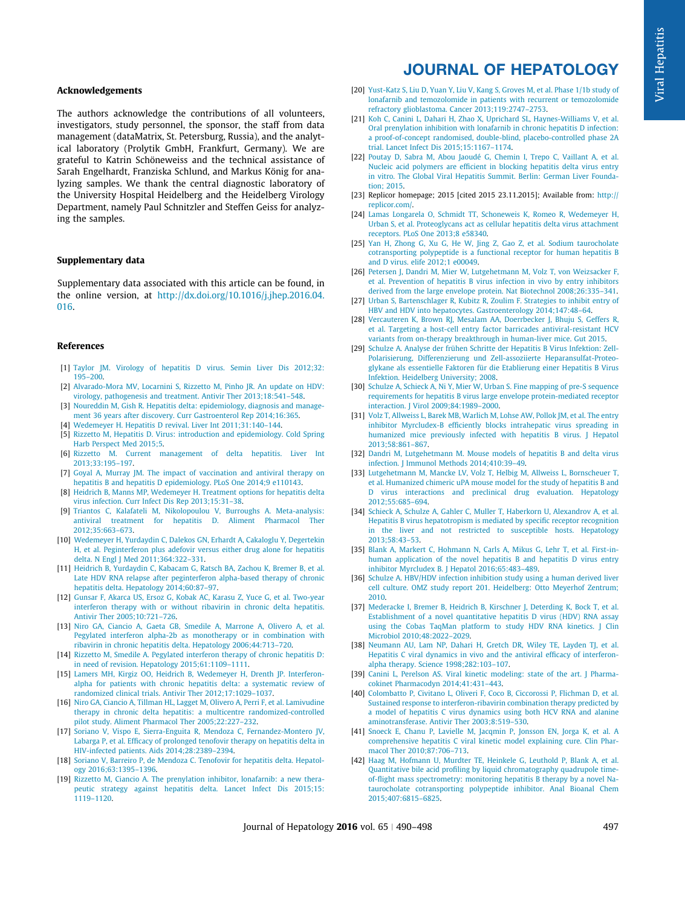## <span id="page-7-0"></span>Acknowledgements

The authors acknowledge the contributions of all volunteers, investigators, study personnel, the sponsor, the staff from data management (dataMatrix, St. Petersburg, Russia), and the analytical laboratory (Prolytik GmbH, Frankfurt, Germany). We are grateful to Katrin Schöneweiss and the technical assistance of Sarah Engelhardt, Franziska Schlund, and Markus König for analyzing samples. We thank the central diagnostic laboratory of the University Hospital Heidelberg and the Heidelberg Virology Department, namely Paul Schnitzler and Steffen Geiss for analyzing the samples.

## Supplementary data

Supplementary data associated with this article can be found, in the online version, at [http://dx.doi.org/10.1016/j.jhep.2016.04.](http://dx.doi.org/10.1016/j.jhep.2016.04.016) [016.](http://dx.doi.org/10.1016/j.jhep.2016.04.016)

### References

- [1] [Taylor JM. Virology of hepatitis D virus. Semin Liver Dis 2012;32:](http://refhub.elsevier.com/S0168-8278(16)30148-9/h0005) [195–200.](http://refhub.elsevier.com/S0168-8278(16)30148-9/h0005)
- [2] [Alvarado-Mora MV, Locarnini S, Rizzetto M, Pinho JR. An update on HDV:](http://refhub.elsevier.com/S0168-8278(16)30148-9/h0010) [virology, pathogenesis and treatment. Antivir Ther 2013;18:541–548](http://refhub.elsevier.com/S0168-8278(16)30148-9/h0010).
- [3] [Noureddin M, Gish R. Hepatitis delta: epidemiology, diagnosis and manage](http://refhub.elsevier.com/S0168-8278(16)30148-9/h0015)[ment 36 years after discovery. Curr Gastroenterol Rep 2014;16:365.](http://refhub.elsevier.com/S0168-8278(16)30148-9/h0015)
- [4] [Wedemeyer H. Hepatitis D revival. Liver Int 2011;31:140–144](http://refhub.elsevier.com/S0168-8278(16)30148-9/h0020).
- [5] [Rizzetto M, Hepatitis D. Virus: introduction and epidemiology. Cold Spring](http://refhub.elsevier.com/S0168-8278(16)30148-9/h0025) [Harb Perspect Med 2015;5](http://refhub.elsevier.com/S0168-8278(16)30148-9/h0025).
- [6] [Rizzetto M. Current management of delta hepatitis. Liver Int](http://refhub.elsevier.com/S0168-8278(16)30148-9/h0030) [2013;33:195–197.](http://refhub.elsevier.com/S0168-8278(16)30148-9/h0030)
- [7] [Goyal A, Murray JM. The impact of vaccination and antiviral therapy on](http://refhub.elsevier.com/S0168-8278(16)30148-9/h0035) [hepatitis B and hepatitis D epidemiology. PLoS One 2014;9 e110143](http://refhub.elsevier.com/S0168-8278(16)30148-9/h0035).
- [8] [Heidrich B, Manns MP, Wedemeyer H. Treatment options for hepatitis delta](http://refhub.elsevier.com/S0168-8278(16)30148-9/h0040) [virus infection. Curr Infect Dis Rep 2013;15:31–38](http://refhub.elsevier.com/S0168-8278(16)30148-9/h0040).
- [9] [Triantos C, Kalafateli M, Nikolopoulou V, Burroughs A. Meta-analysis:](http://refhub.elsevier.com/S0168-8278(16)30148-9/h0045) [antiviral treatment for hepatitis D. Aliment Pharmacol Ther](http://refhub.elsevier.com/S0168-8278(16)30148-9/h0045) [2012;35:663–673.](http://refhub.elsevier.com/S0168-8278(16)30148-9/h0045)
- [10] [Wedemeyer H, Yurdaydin C, Dalekos GN, Erhardt A, Cakaloglu Y, Degertekin](http://refhub.elsevier.com/S0168-8278(16)30148-9/h0050) [H, et al. Peginterferon plus adefovir versus either drug alone for hepatitis](http://refhub.elsevier.com/S0168-8278(16)30148-9/h0050) [delta. N Engl J Med 2011;364:322–331](http://refhub.elsevier.com/S0168-8278(16)30148-9/h0050).
- [11] [Heidrich B, Yurdaydin C, Kabacam G, Ratsch BA, Zachou K, Bremer B, et al.](http://refhub.elsevier.com/S0168-8278(16)30148-9/h0055) [Late HDV RNA relapse after peginterferon alpha-based therapy of chronic](http://refhub.elsevier.com/S0168-8278(16)30148-9/h0055) [hepatitis delta. Hepatology 2014;60:87–97.](http://refhub.elsevier.com/S0168-8278(16)30148-9/h0055)
- [12] [Gunsar F, Akarca US, Ersoz G, Kobak AC, Karasu Z, Yuce G, et al. Two-year](http://refhub.elsevier.com/S0168-8278(16)30148-9/h0060) [interferon therapy with or without ribavirin in chronic delta hepatitis.](http://refhub.elsevier.com/S0168-8278(16)30148-9/h0060) [Antivir Ther 2005;10:721–726.](http://refhub.elsevier.com/S0168-8278(16)30148-9/h0060)
- [13] [Niro GA, Ciancio A, Gaeta GB, Smedile A, Marrone A, Olivero A, et al.](http://refhub.elsevier.com/S0168-8278(16)30148-9/h0065) [Pegylated interferon alpha-2b as monotherapy or in combination with](http://refhub.elsevier.com/S0168-8278(16)30148-9/h0065) [ribavirin in chronic hepatitis delta. Hepatology 2006;44:713–720.](http://refhub.elsevier.com/S0168-8278(16)30148-9/h0065)
- [14] [Rizzetto M, Smedile A. Pegylated interferon therapy of chronic hepatitis D:](http://refhub.elsevier.com/S0168-8278(16)30148-9/h0070) [in need of revision. Hepatology 2015;61:1109–1111.](http://refhub.elsevier.com/S0168-8278(16)30148-9/h0070)
- [15] [Lamers MH, Kirgiz OO, Heidrich B, Wedemeyer H, Drenth JP. Interferon](http://refhub.elsevier.com/S0168-8278(16)30148-9/h0075)[alpha for patients with chronic hepatitis delta: a systematic review of](http://refhub.elsevier.com/S0168-8278(16)30148-9/h0075) [randomized clinical trials. Antivir Ther 2012;17:1029–1037.](http://refhub.elsevier.com/S0168-8278(16)30148-9/h0075)
- [16] [Niro GA, Ciancio A, Tillman HL, Lagget M, Olivero A, Perri F, et al. Lamivudine](http://refhub.elsevier.com/S0168-8278(16)30148-9/h0080) [therapy in chronic delta hepatitis: a multicentre randomized-controlled](http://refhub.elsevier.com/S0168-8278(16)30148-9/h0080) [pilot study. Aliment Pharmacol Ther 2005;22:227–232](http://refhub.elsevier.com/S0168-8278(16)30148-9/h0080).
- [17] [Soriano V, Vispo E, Sierra-Enguita R, Mendoza C, Fernandez-Montero JV,](http://refhub.elsevier.com/S0168-8278(16)30148-9/h0085) [Labarga P, et al. Efficacy of prolonged tenofovir therapy on hepatitis delta in](http://refhub.elsevier.com/S0168-8278(16)30148-9/h0085) [HIV-infected patients. Aids 2014;28:2389–2394.](http://refhub.elsevier.com/S0168-8278(16)30148-9/h0085)
- [18] [Soriano V, Barreiro P, de Mendoza C. Tenofovir for hepatitis delta. Hepatol](http://refhub.elsevier.com/S0168-8278(16)30148-9/h0090)[ogy 2016;63:1395–1396](http://refhub.elsevier.com/S0168-8278(16)30148-9/h0090).
- [19] [Rizzetto M, Ciancio A. The prenylation inhibitor, lonafarnib: a new thera](http://refhub.elsevier.com/S0168-8278(16)30148-9/h0095)[peutic strategy against hepatitis delta. Lancet Infect Dis 2015;15:](http://refhub.elsevier.com/S0168-8278(16)30148-9/h0095) [1119–1120.](http://refhub.elsevier.com/S0168-8278(16)30148-9/h0095)

## JOURNAL OF HEPATOLOGY

- [20] [Yust-Katz S, Liu D, Yuan Y, Liu V, Kang S, Groves M, et al. Phase 1/1b study of](http://refhub.elsevier.com/S0168-8278(16)30148-9/h0100) [lonafarnib and temozolomide in patients with recurrent or temozolomide](http://refhub.elsevier.com/S0168-8278(16)30148-9/h0100) [refractory glioblastoma. Cancer 2013;119:2747–2753](http://refhub.elsevier.com/S0168-8278(16)30148-9/h0100).
- [21] [Koh C, Canini L, Dahari H, Zhao X, Uprichard SL, Haynes-Williams V, et al.](http://refhub.elsevier.com/S0168-8278(16)30148-9/h0105) [Oral prenylation inhibition with lonafarnib in chronic hepatitis D infection:](http://refhub.elsevier.com/S0168-8278(16)30148-9/h0105) [a proof-of-concept randomised, double-blind, placebo-controlled phase 2A](http://refhub.elsevier.com/S0168-8278(16)30148-9/h0105) [trial. Lancet Infect Dis 2015;15:1167–1174](http://refhub.elsevier.com/S0168-8278(16)30148-9/h0105).
- [22] [Poutay D, Sabra M, Abou Jaoudé G, Chemin I, Trepo C, Vaillant A, et al.](http://refhub.elsevier.com/S0168-8278(16)30148-9/h0110) [Nucleic acid polymers are efficient in blocking hepatitis delta virus entry](http://refhub.elsevier.com/S0168-8278(16)30148-9/h0110) [in vitro. The Global Viral Hepatitis Summit. Berlin: German Liver Founda](http://refhub.elsevier.com/S0168-8278(16)30148-9/h0110)[tion; 2015](http://refhub.elsevier.com/S0168-8278(16)30148-9/h0110).
- [23] Replicor homepage; 2015 [cited 2015 23.11.2015]; Available from: [http://](http://replicor.com/) [replicor.com/](http://replicor.com/).
- [24] [Lamas Longarela O, Schmidt TT, Schoneweis K, Romeo R, Wedemeyer H,](http://refhub.elsevier.com/S0168-8278(16)30148-9/h0120) [Urban S, et al. Proteoglycans act as cellular hepatitis delta virus attachment](http://refhub.elsevier.com/S0168-8278(16)30148-9/h0120) [receptors. PLoS One 2013;8 e58340.](http://refhub.elsevier.com/S0168-8278(16)30148-9/h0120)
- [25] [Yan H, Zhong G, Xu G, He W, Jing Z, Gao Z, et al. Sodium taurocholate](http://refhub.elsevier.com/S0168-8278(16)30148-9/h0125) [cotransporting polypeptide is a functional receptor for human hepatitis B](http://refhub.elsevier.com/S0168-8278(16)30148-9/h0125) [and D virus. elife 2012;1 e00049.](http://refhub.elsevier.com/S0168-8278(16)30148-9/h0125)
- [26] [Petersen J, Dandri M, Mier W, Lutgehetmann M, Volz T, von Weizsacker F,](http://refhub.elsevier.com/S0168-8278(16)30148-9/h0130) [et al. Prevention of hepatitis B virus infection in vivo by entry inhibitors](http://refhub.elsevier.com/S0168-8278(16)30148-9/h0130) [derived from the large envelope protein. Nat Biotechnol 2008;26:335–341](http://refhub.elsevier.com/S0168-8278(16)30148-9/h0130).
- [27] [Urban S, Bartenschlager R, Kubitz R, Zoulim F. Strategies to inhibit entry of](http://refhub.elsevier.com/S0168-8278(16)30148-9/h0135) [HBV and HDV into hepatocytes. Gastroenterology 2014;147:48–64](http://refhub.elsevier.com/S0168-8278(16)30148-9/h0135).
- [28] [Vercauteren K, Brown RJ, Mesalam AA, Doerrbecker J, Bhuju S, Geffers R,](http://refhub.elsevier.com/S0168-8278(16)30148-9/h0140) [et al. Targeting a host-cell entry factor barricades antiviral-resistant HCV](http://refhub.elsevier.com/S0168-8278(16)30148-9/h0140) [variants from on-therapy breakthrough in human-liver mice. Gut 2015.](http://refhub.elsevier.com/S0168-8278(16)30148-9/h0140)
- [29] [Schulze A. Analyse der frühen Schritte der Hepatitis B Virus Infektion: Zell-](http://refhub.elsevier.com/S0168-8278(16)30148-9/h0145)[Polarisierung, Differenzierung und Zell-assoziierte Heparansulfat-Proteo](http://refhub.elsevier.com/S0168-8278(16)30148-9/h0145)[glykane als essentielle Faktoren für die Etablierung einer Hepatitis B Virus](http://refhub.elsevier.com/S0168-8278(16)30148-9/h0145) [Infektion. Heidelberg University; 2008](http://refhub.elsevier.com/S0168-8278(16)30148-9/h0145).
- [30] [Schulze A, Schieck A, Ni Y, Mier W, Urban S. Fine mapping of pre-S sequence](http://refhub.elsevier.com/S0168-8278(16)30148-9/h0150) [requirements for hepatitis B virus large envelope protein-mediated receptor](http://refhub.elsevier.com/S0168-8278(16)30148-9/h0150) [interaction. J Virol 2009;84:1989–2000.](http://refhub.elsevier.com/S0168-8278(16)30148-9/h0150)
- [31] [Volz T, Allweiss L, Barek MB, Warlich M, Lohse AW, Pollok JM, et al. The entry](http://refhub.elsevier.com/S0168-8278(16)30148-9/h0155) [inhibitor Myrcludex-B efficiently blocks intrahepatic virus spreading in](http://refhub.elsevier.com/S0168-8278(16)30148-9/h0155) [humanized mice previously infected with hepatitis B virus. J Hepatol](http://refhub.elsevier.com/S0168-8278(16)30148-9/h0155) [2013;58:861–867](http://refhub.elsevier.com/S0168-8278(16)30148-9/h0155).
- [32] [Dandri M, Lutgehetmann M. Mouse models of hepatitis B and delta virus](http://refhub.elsevier.com/S0168-8278(16)30148-9/h0160) [infection. J Immunol Methods 2014;410:39–49](http://refhub.elsevier.com/S0168-8278(16)30148-9/h0160).
- [33] [Lutgehetmann M, Mancke LV, Volz T, Helbig M, Allweiss L, Bornscheuer T,](http://refhub.elsevier.com/S0168-8278(16)30148-9/h0165) [et al. Humanized chimeric uPA mouse model for the study of hepatitis B and](http://refhub.elsevier.com/S0168-8278(16)30148-9/h0165) [D virus interactions and preclinical drug evaluation. Hepatology](http://refhub.elsevier.com/S0168-8278(16)30148-9/h0165) [2012;55:685–694](http://refhub.elsevier.com/S0168-8278(16)30148-9/h0165).
- [34] [Schieck A, Schulze A, Gahler C, Muller T, Haberkorn U, Alexandrov A, et al.](http://refhub.elsevier.com/S0168-8278(16)30148-9/h0170) [Hepatitis B virus hepatotropism is mediated by specific receptor recognition](http://refhub.elsevier.com/S0168-8278(16)30148-9/h0170) [in the liver and not restricted to susceptible hosts. Hepatology](http://refhub.elsevier.com/S0168-8278(16)30148-9/h0170) [2013;58:43–53.](http://refhub.elsevier.com/S0168-8278(16)30148-9/h0170)
- [35] [Blank A, Markert C, Hohmann N, Carls A, Mikus G, Lehr T, et al. First-in](http://refhub.elsevier.com/S0168-8278(16)30148-9/h0175)[human application of the novel hepatitis B and hepatitis D virus entry](http://refhub.elsevier.com/S0168-8278(16)30148-9/h0175) [inhibitor Myrcludex B. J Hepatol 2016;65:483–489.](http://refhub.elsevier.com/S0168-8278(16)30148-9/h0175)
- [36] [Schulze A. HBV/HDV infection inhibition study using a human derived liver](http://refhub.elsevier.com/S0168-8278(16)30148-9/h0180) [cell culture. OMZ study report 201. Heidelberg: Otto Meyerhof Zentrum;](http://refhub.elsevier.com/S0168-8278(16)30148-9/h0180) [2010](http://refhub.elsevier.com/S0168-8278(16)30148-9/h0180).
- [37] [Mederacke I, Bremer B, Heidrich B, Kirschner J, Deterding K, Bock T, et al.](http://refhub.elsevier.com/S0168-8278(16)30148-9/h0185) [Establishment of a novel quantitative hepatitis D virus \(HDV\) RNA assay](http://refhub.elsevier.com/S0168-8278(16)30148-9/h0185) [using the Cobas TaqMan platform to study HDV RNA kinetics. J Clin](http://refhub.elsevier.com/S0168-8278(16)30148-9/h0185) [Microbiol 2010;48:2022–2029.](http://refhub.elsevier.com/S0168-8278(16)30148-9/h0185)
- [38] [Neumann AU, Lam NP, Dahari H, Gretch DR, Wiley TE, Layden TJ, et al.](http://refhub.elsevier.com/S0168-8278(16)30148-9/h0190) [Hepatitis C viral dynamics in vivo and the antiviral efficacy of interferon](http://refhub.elsevier.com/S0168-8278(16)30148-9/h0190)[alpha therapy. Science 1998;282:103–107.](http://refhub.elsevier.com/S0168-8278(16)30148-9/h0190)
- [39] [Canini L, Perelson AS. Viral kinetic modeling: state of the art. J Pharma](http://refhub.elsevier.com/S0168-8278(16)30148-9/h0195)[cokinet Pharmacodyn 2014;41:431–443](http://refhub.elsevier.com/S0168-8278(16)30148-9/h0195).
- [40] [Colombatto P, Civitano L, Oliveri F, Coco B, Ciccorossi P, Flichman D, et al.](http://refhub.elsevier.com/S0168-8278(16)30148-9/h0200) [Sustained response to interferon-ribavirin combination therapy predicted by](http://refhub.elsevier.com/S0168-8278(16)30148-9/h0200) [a model of hepatitis C virus dynamics using both HCV RNA and alanine](http://refhub.elsevier.com/S0168-8278(16)30148-9/h0200) [aminotransferase. Antivir Ther 2003;8:519–530](http://refhub.elsevier.com/S0168-8278(16)30148-9/h0200).
- [41] [Snoeck E, Chanu P, Lavielle M, Jacqmin P, Jonsson EN, Jorga K, et al. A](http://refhub.elsevier.com/S0168-8278(16)30148-9/h0205) [comprehensive hepatitis C viral kinetic model explaining cure. Clin Phar](http://refhub.elsevier.com/S0168-8278(16)30148-9/h0205)[macol Ther 2010;87:706–713](http://refhub.elsevier.com/S0168-8278(16)30148-9/h0205).
- [42] [Haag M, Hofmann U, Murdter TE, Heinkele G, Leuthold P, Blank A, et al.](http://refhub.elsevier.com/S0168-8278(16)30148-9/h0210) [Quantitative bile acid profiling by liquid chromatography quadrupole time](http://refhub.elsevier.com/S0168-8278(16)30148-9/h0210)[of-flight mass spectrometry: monitoring hepatitis B therapy by a novel Na](http://refhub.elsevier.com/S0168-8278(16)30148-9/h0210)[taurocholate cotransporting polypeptide inhibitor. Anal Bioanal Chem](http://refhub.elsevier.com/S0168-8278(16)30148-9/h0210) [2015;407:6815–6825](http://refhub.elsevier.com/S0168-8278(16)30148-9/h0210).